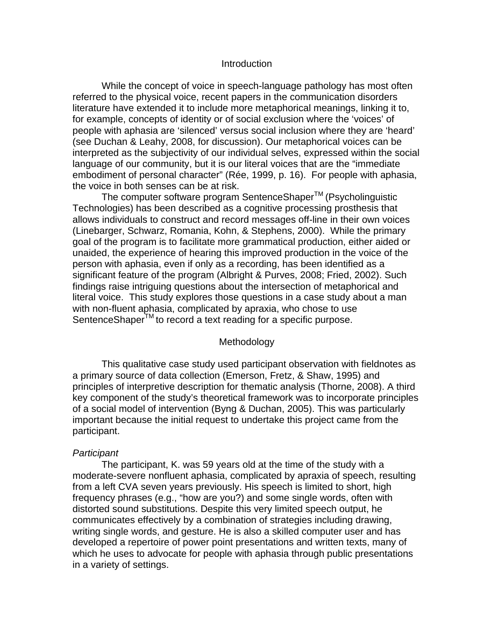## **Introduction**

While the concept of voice in speech-language pathology has most often referred to the physical voice, recent papers in the communication disorders literature have extended it to include more metaphorical meanings, linking it to, for example, concepts of identity or of social exclusion where the 'voices' of people with aphasia are 'silenced' versus social inclusion where they are 'heard' (see Duchan & Leahy, 2008, for discussion). Our metaphorical voices can be interpreted as the subjectivity of our individual selves, expressed within the social language of our community, but it is our literal voices that are the "immediate embodiment of personal character" (Rée, 1999, p. 16). For people with aphasia, the voice in both senses can be at risk.

The computer software program SentenceShaper™ (Psycholinguistic Technologies) has been described as a cognitive processing prosthesis that allows individuals to construct and record messages off-line in their own voices (Linebarger, Schwarz, Romania, Kohn, & Stephens, 2000). While the primary goal of the program is to facilitate more grammatical production, either aided or unaided, the experience of hearing this improved production in the voice of the person with aphasia, even if only as a recording, has been identified as a significant feature of the program (Albright & Purves, 2008; Fried, 2002). Such findings raise intriguing questions about the intersection of metaphorical and literal voice. This study explores those questions in a case study about a man with non-fluent aphasia, complicated by apraxia, who chose to use SentenceShaper™ to record a text reading for a specific purpose.

## Methodology

 This qualitative case study used participant observation with fieldnotes as a primary source of data collection (Emerson, Fretz, & Shaw, 1995) and principles of interpretive description for thematic analysis (Thorne, 2008). A third key component of the study's theoretical framework was to incorporate principles of a social model of intervention (Byng & Duchan, 2005). This was particularly important because the initial request to undertake this project came from the participant.

#### *Participant*

The participant, K. was 59 years old at the time of the study with a moderate-severe nonfluent aphasia, complicated by apraxia of speech, resulting from a left CVA seven years previously. His speech is limited to short, high frequency phrases (e.g., "how are you?) and some single words, often with distorted sound substitutions. Despite this very limited speech output, he communicates effectively by a combination of strategies including drawing, writing single words, and gesture. He is also a skilled computer user and has developed a repertoire of power point presentations and written texts, many of which he uses to advocate for people with aphasia through public presentations in a variety of settings.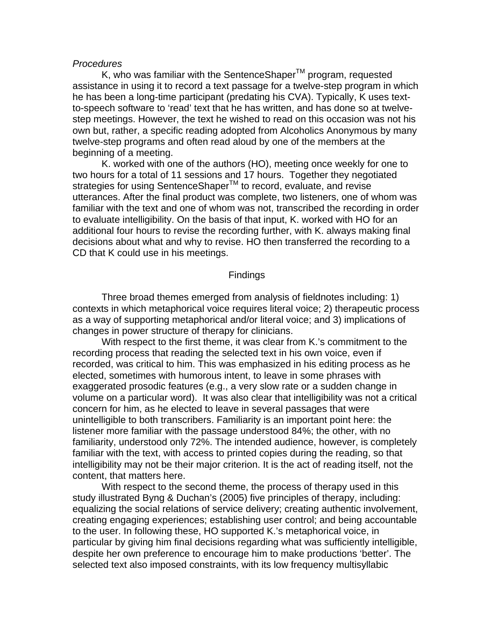#### *Procedures*

K, who was familiar with the SentenceShaper $TM$  program, requested assistance in using it to record a text passage for a twelve-step program in which he has been a long-time participant (predating his CVA). Typically, K uses textto-speech software to 'read' text that he has written, and has done so at twelvestep meetings. However, the text he wished to read on this occasion was not his own but, rather, a specific reading adopted from Alcoholics Anonymous by many twelve-step programs and often read aloud by one of the members at the beginning of a meeting.

K. worked with one of the authors (HO), meeting once weekly for one to two hours for a total of 11 sessions and 17 hours. Together they negotiated strategies for using SentenceShaper™ to record, evaluate, and revise utterances. After the final product was complete, two listeners, one of whom was familiar with the text and one of whom was not, transcribed the recording in order to evaluate intelligibility. On the basis of that input, K. worked with HO for an additional four hours to revise the recording further, with K. always making final decisions about what and why to revise. HO then transferred the recording to a CD that K could use in his meetings.

## **Findings**

 Three broad themes emerged from analysis of fieldnotes including: 1) contexts in which metaphorical voice requires literal voice; 2) therapeutic process as a way of supporting metaphorical and/or literal voice; and 3) implications of changes in power structure of therapy for clinicians.

 With respect to the first theme, it was clear from K.'s commitment to the recording process that reading the selected text in his own voice, even if recorded, was critical to him. This was emphasized in his editing process as he elected, sometimes with humorous intent, to leave in some phrases with exaggerated prosodic features (e.g., a very slow rate or a sudden change in volume on a particular word). It was also clear that intelligibility was not a critical concern for him, as he elected to leave in several passages that were unintelligible to both transcribers. Familiarity is an important point here: the listener more familiar with the passage understood 84%; the other, with no familiarity, understood only 72%. The intended audience, however, is completely familiar with the text, with access to printed copies during the reading, so that intelligibility may not be their major criterion. It is the act of reading itself, not the content, that matters here.

 With respect to the second theme, the process of therapy used in this study illustrated Byng & Duchan's (2005) five principles of therapy, including: equalizing the social relations of service delivery; creating authentic involvement, creating engaging experiences; establishing user control; and being accountable to the user. In following these, HO supported K.'s metaphorical voice, in particular by giving him final decisions regarding what was sufficiently intelligible, despite her own preference to encourage him to make productions 'better'. The selected text also imposed constraints, with its low frequency multisyllabic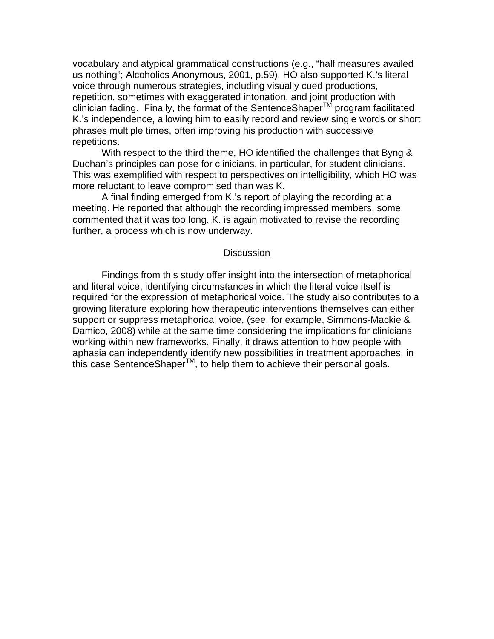vocabulary and atypical grammatical constructions (e.g., "half measures availed us nothing"; Alcoholics Anonymous, 2001, p.59). HO also supported K.'s literal voice through numerous strategies, including visually cued productions, repetition, sometimes with exaggerated intonation, and joint production with  $\frac{1}{2}$ clinician fading. Finally, the format of the SentenceShaper $\frac{1}{2}$  program facilitated K.'s independence, allowing him to easily record and review single words or short phrases multiple times, often improving his production with successive repetitions.

 With respect to the third theme, HO identified the challenges that Byng & Duchan's principles can pose for clinicians, in particular, for student clinicians. This was exemplified with respect to perspectives on intelligibility, which HO was more reluctant to leave compromised than was K.

 A final finding emerged from K.'s report of playing the recording at a meeting. He reported that although the recording impressed members, some commented that it was too long. K. is again motivated to revise the recording further, a process which is now underway.

# **Discussion**

 Findings from this study offer insight into the intersection of metaphorical and literal voice, identifying circumstances in which the literal voice itself is required for the expression of metaphorical voice. The study also contributes to a growing literature exploring how therapeutic interventions themselves can either support or suppress metaphorical voice, (see, for example, Simmons-Mackie & Damico, 2008) while at the same time considering the implications for clinicians working within new frameworks. Finally, it draws attention to how people with aphasia can independently identify new possibilities in treatment approaches, in this case SentenceShaperTM, to help them to achieve their personal goals.